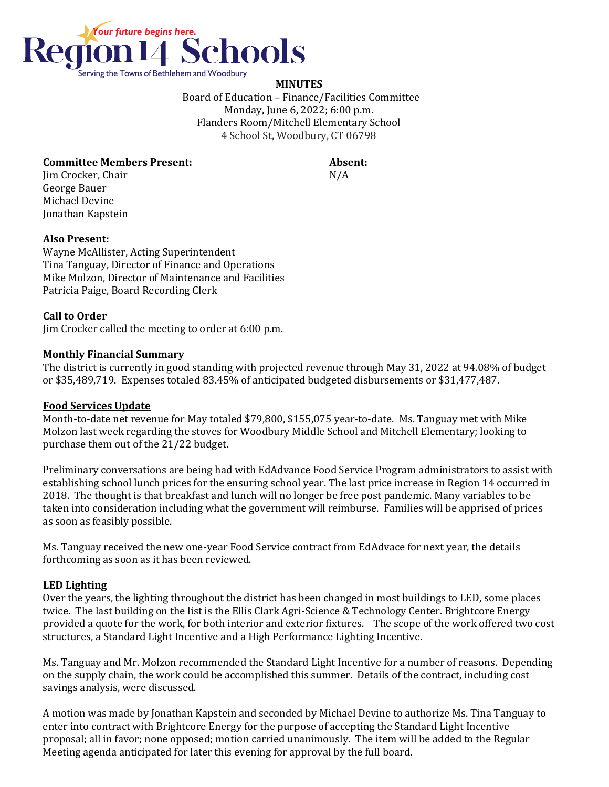

## **MINUTES**

 Board of Education – Finance/Facilities Committee Monday, June 6, 2022; 6:00 p.m. Flanders Room/Mitchell Elementary School 4 School St, Woodbury, CT 06798

#### **Committee Members Present: Absent:**

Jim Crocker, Chair N/A George Bauer Michael Devine Jonathan Kapstein

### **Also Present:**

Wayne McAllister, Acting Superintendent Tina Tanguay, Director of Finance and Operations Mike Molzon, Director of Maintenance and Facilities Patricia Paige, Board Recording Clerk

### **Call to Order**

Jim Crocker called the meeting to order at 6:00 p.m.

### **Monthly Financial Summary**

The district is currently in good standing with projected revenue through May 31, 2022 at 94.08% of budget or \$35,489,719. Expenses totaled 83.45% of anticipated budgeted disbursements or \$31,477,487.

### **Food Services Update**

Month-to-date net revenue for May totaled \$79,800, \$155,075 year-to-date. Ms. Tanguay met with Mike Molzon last week regarding the stoves for Woodbury Middle School and Mitchell Elementary; looking to purchase them out of the 21/22 budget.

Preliminary conversations are being had with EdAdvance Food Service Program administrators to assist with establishing school lunch prices for the ensuring school year. The last price increase in Region 14 occurred in 2018. The thought is that breakfast and lunch will no longer be free post pandemic. Many variables to be taken into consideration including what the government will reimburse. Families will be apprised of prices as soon as feasibly possible.

Ms. Tanguay received the new one-year Food Service contract from EdAdvace for next year, the details forthcoming as soon as it has been reviewed.

# **LED Lighting**

Over the years, the lighting throughout the district has been changed in most buildings to LED, some places twice. The last building on the list is the Ellis Clark Agri-Science & Technology Center. Brightcore Energy provided a quote for the work, for both interior and exterior fixtures. The scope of the work offered two cost structures, a Standard Light Incentive and a High Performance Lighting Incentive.

Ms. Tanguay and Mr. Molzon recommended the Standard Light Incentive for a number of reasons. Depending on the supply chain, the work could be accomplished this summer. Details of the contract, including cost savings analysis, were discussed.

A motion was made by Jonathan Kapstein and seconded by Michael Devine to authorize Ms. Tina Tanguay to enter into contract with Brightcore Energy for the purpose of accepting the Standard Light Incentive proposal; all in favor; none opposed; motion carried unanimously. The item will be added to the Regular Meeting agenda anticipated for later this evening for approval by the full board.